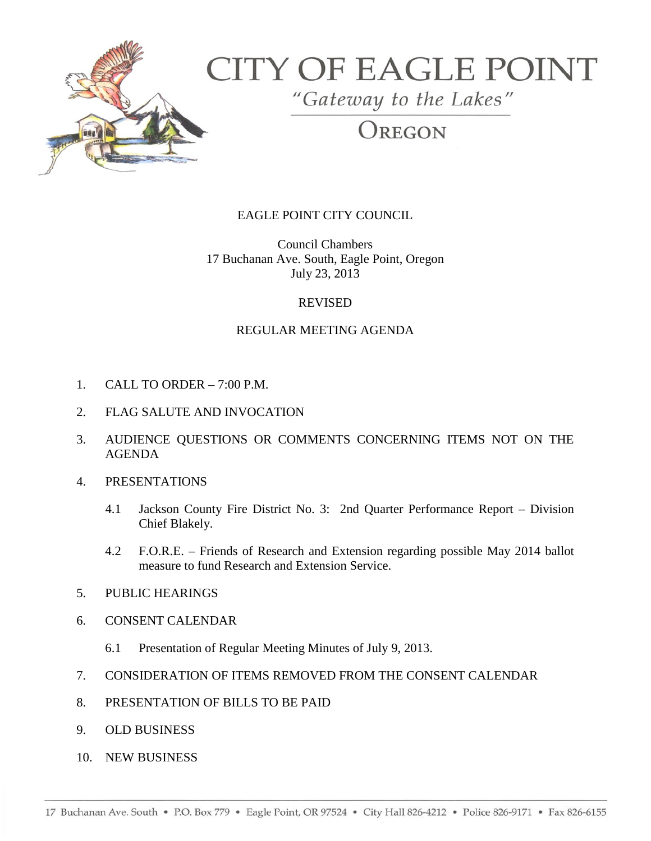

# **CITY OF EAGLE POINT**

"Gateway to the Lakes"

OREGON

## EAGLE POINT CITY COUNCIL

Council Chambers 17 Buchanan Ave. South, Eagle Point, Oregon July 23, 2013

### REVISED

## REGULAR MEETING AGENDA

- 1. CALL TO ORDER 7:00 P.M.
- 2. FLAG SALUTE AND INVOCATION
- 3. AUDIENCE QUESTIONS OR COMMENTS CONCERNING ITEMS NOT ON THE AGENDA
- 4. PRESENTATIONS
	- 4.1 Jackson County Fire District No. 3: 2nd Quarter Performance Report Division Chief Blakely.
	- 4.2 F.O.R.E. Friends of Research and Extension regarding possible May 2014 ballot measure to fund Research and Extension Service.
- 5. PUBLIC HEARINGS
- 6. CONSENT CALENDAR
	- 6.1 Presentation of Regular Meeting Minutes of July 9, 2013.
- 7. CONSIDERATION OF ITEMS REMOVED FROM THE CONSENT CALENDAR
- 8. PRESENTATION OF BILLS TO BE PAID
- 9. OLD BUSINESS
- 10. NEW BUSINESS